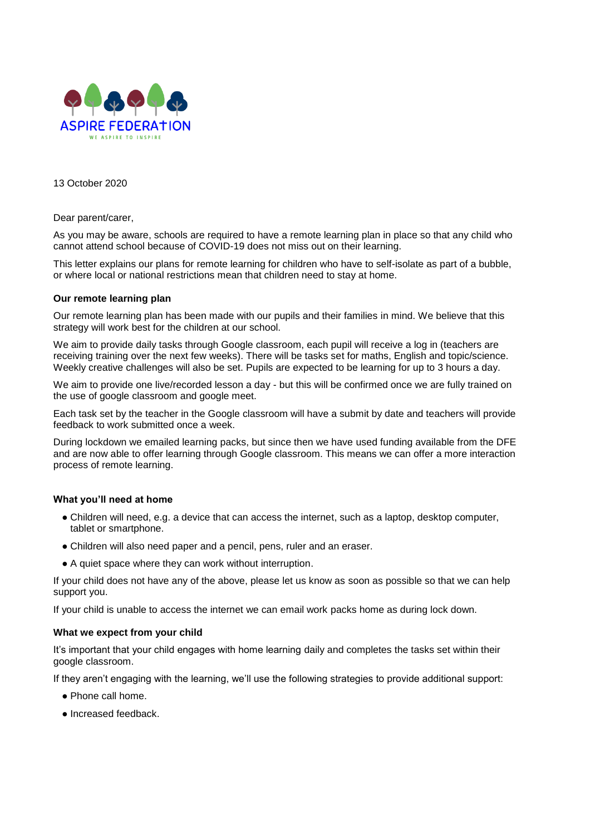

13 October 2020

Dear parent/carer,

As you may be aware, schools are required to have a remote learning plan in place so that any child who cannot attend school because of COVID-19 does not miss out on their learning.

This letter explains our plans for remote learning for children who have to self-isolate as part of a bubble, or where local or national restrictions mean that children need to stay at home.

## **Our remote learning plan**

Our remote learning plan has been made with our pupils and their families in mind. We believe that this strategy will work best for the children at our school.

We aim to provide daily tasks through Google classroom, each pupil will receive a log in (teachers are receiving training over the next few weeks). There will be tasks set for maths, English and topic/science. Weekly creative challenges will also be set. Pupils are expected to be learning for up to 3 hours a day.

We aim to provide one live/recorded lesson a day - but this will be confirmed once we are fully trained on the use of google classroom and google meet.

Each task set by the teacher in the Google classroom will have a submit by date and teachers will provide feedback to work submitted once a week.

During lockdown we emailed learning packs, but since then we have used funding available from the DFE and are now able to offer learning through Google classroom. This means we can offer a more interaction process of remote learning.

## **What you'll need at home**

- Children will need, e.g. a device that can access the internet, such as a laptop, desktop computer, tablet or smartphone.
- Children will also need paper and a pencil, pens, ruler and an eraser.
- A quiet space where they can work without interruption.

If your child does not have any of the above, please let us know as soon as possible so that we can help support you.

If your child is unable to access the internet we can email work packs home as during lock down.

## **What we expect from your child**

It's important that your child engages with home learning daily and completes the tasks set within their google classroom.

If they aren't engaging with the learning, we'll use the following strategies to provide additional support:

- Phone call home.
- Increased feedback.